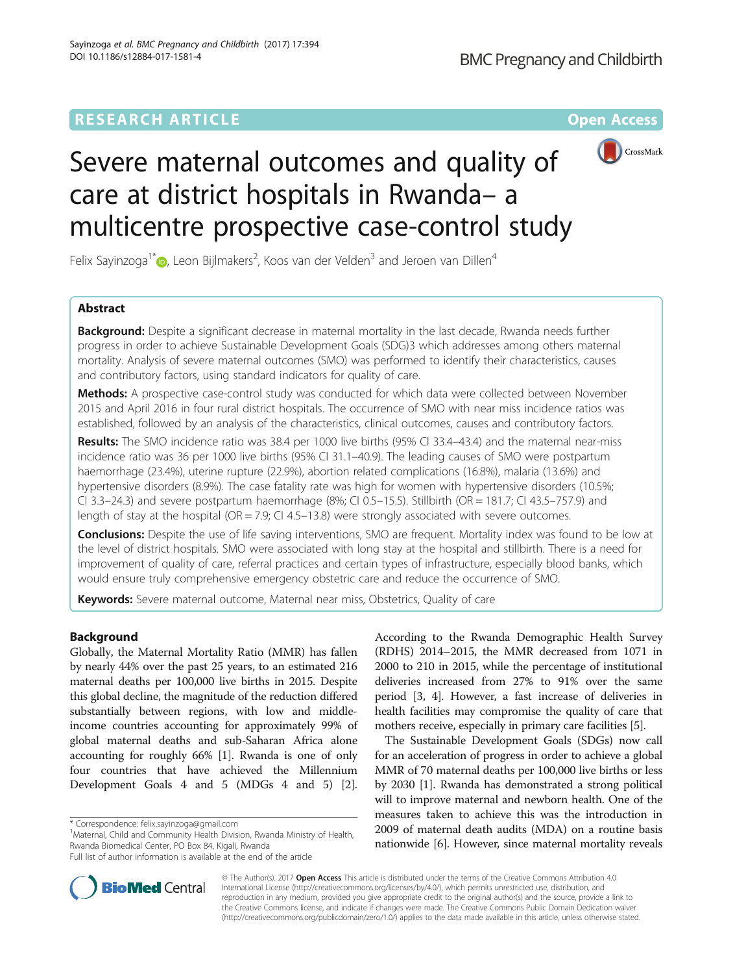## **RESEARCH ARTICLE Example 2014 12:30 The Contract of Contract ACCESS**



# Severe maternal outcomes and quality of care at district hospitals in Rwanda– a multicentre prospective case-control study

Felix Sayinzoga $^{1^{\ast}}$ D[,](http://orcid.org/0000-0002-5627-3185) Leon Bijlmakers $^2$ , Koos van der Velden $^3$  and Jeroen van Dillen $^4$ 

## Abstract

**Background:** Despite a significant decrease in maternal mortality in the last decade, Rwanda needs further progress in order to achieve Sustainable Development Goals (SDG)3 which addresses among others maternal mortality. Analysis of severe maternal outcomes (SMO) was performed to identify their characteristics, causes and contributory factors, using standard indicators for quality of care.

Methods: A prospective case-control study was conducted for which data were collected between November 2015 and April 2016 in four rural district hospitals. The occurrence of SMO with near miss incidence ratios was established, followed by an analysis of the characteristics, clinical outcomes, causes and contributory factors.

Results: The SMO incidence ratio was 38.4 per 1000 live births (95% CI 33.4–43.4) and the maternal near-miss incidence ratio was 36 per 1000 live births (95% CI 31.1–40.9). The leading causes of SMO were postpartum haemorrhage (23.4%), uterine rupture (22.9%), abortion related complications (16.8%), malaria (13.6%) and hypertensive disorders (8.9%). The case fatality rate was high for women with hypertensive disorders (10.5%; CI 3.3–24.3) and severe postpartum haemorrhage (8%; CI 0.5–15.5). Stillbirth (OR = 181.7; CI 43.5–757.9) and length of stay at the hospital (OR = 7.9; CI 4.5–13.8) were strongly associated with severe outcomes.

Conclusions: Despite the use of life saving interventions, SMO are frequent. Mortality index was found to be low at the level of district hospitals. SMO were associated with long stay at the hospital and stillbirth. There is a need for improvement of quality of care, referral practices and certain types of infrastructure, especially blood banks, which would ensure truly comprehensive emergency obstetric care and reduce the occurrence of SMO.

Keywords: Severe maternal outcome, Maternal near miss, Obstetrics, Quality of care

## Background

Globally, the Maternal Mortality Ratio (MMR) has fallen by nearly 44% over the past 25 years, to an estimated 216 maternal deaths per 100,000 live births in 2015. Despite this global decline, the magnitude of the reduction differed substantially between regions, with low and middleincome countries accounting for approximately 99% of global maternal deaths and sub-Saharan Africa alone accounting for roughly 66% [\[1](#page-7-0)]. Rwanda is one of only four countries that have achieved the Millennium Development Goals 4 and 5 (MDGs 4 and 5) [[2](#page-8-0)].

<sup>1</sup>Maternal, Child and Community Health Division, Rwanda Ministry of Health, Rwanda Biomedical Center, PO Box 84, Kigali, Rwanda

According to the Rwanda Demographic Health Survey (RDHS) 2014–2015, the MMR decreased from 1071 in 2000 to 210 in 2015, while the percentage of institutional deliveries increased from 27% to 91% over the same period [[3, 4\]](#page-8-0). However, a fast increase of deliveries in health facilities may compromise the quality of care that mothers receive, especially in primary care facilities [\[5](#page-8-0)].

The Sustainable Development Goals (SDGs) now call for an acceleration of progress in order to achieve a global MMR of 70 maternal deaths per 100,000 live births or less by 2030 [\[1\]](#page-7-0). Rwanda has demonstrated a strong political will to improve maternal and newborn health. One of the measures taken to achieve this was the introduction in 2009 of maternal death audits (MDA) on a routine basis nationwide [\[6](#page-8-0)]. However, since maternal mortality reveals



© The Author(s). 2017 **Open Access** This article is distributed under the terms of the Creative Commons Attribution 4.0 International License [\(http://creativecommons.org/licenses/by/4.0/](http://creativecommons.org/licenses/by/4.0/)), which permits unrestricted use, distribution, and reproduction in any medium, provided you give appropriate credit to the original author(s) and the source, provide a link to the Creative Commons license, and indicate if changes were made. The Creative Commons Public Domain Dedication waiver [\(http://creativecommons.org/publicdomain/zero/1.0/](http://creativecommons.org/publicdomain/zero/1.0/)) applies to the data made available in this article, unless otherwise stated.

<sup>\*</sup> Correspondence: [felix.sayinzoga@gmail.com](mailto:felix.sayinzoga@gmail.com) <sup>1</sup>

Full list of author information is available at the end of the article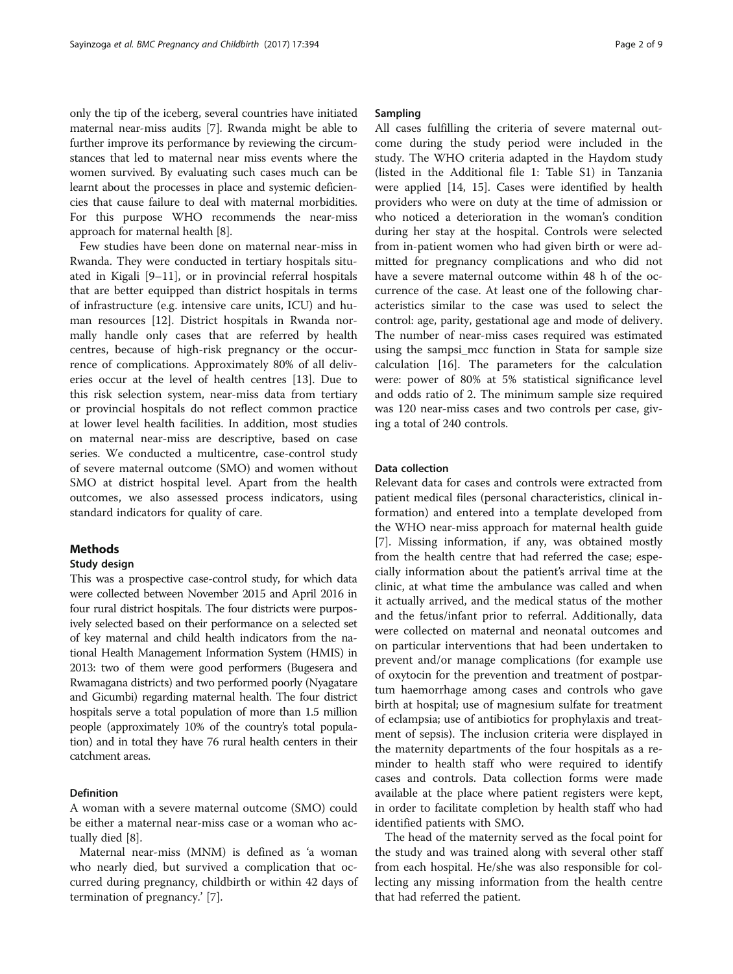only the tip of the iceberg, several countries have initiated maternal near-miss audits [[7\]](#page-8-0). Rwanda might be able to further improve its performance by reviewing the circumstances that led to maternal near miss events where the women survived. By evaluating such cases much can be learnt about the processes in place and systemic deficiencies that cause failure to deal with maternal morbidities. For this purpose WHO recommends the near-miss approach for maternal health [[8\]](#page-8-0).

Few studies have been done on maternal near-miss in Rwanda. They were conducted in tertiary hospitals situated in Kigali [[9](#page-8-0)–[11\]](#page-8-0), or in provincial referral hospitals that are better equipped than district hospitals in terms of infrastructure (e.g. intensive care units, ICU) and human resources [\[12](#page-8-0)]. District hospitals in Rwanda normally handle only cases that are referred by health centres, because of high-risk pregnancy or the occurrence of complications. Approximately 80% of all deliveries occur at the level of health centres [[13\]](#page-8-0). Due to this risk selection system, near-miss data from tertiary or provincial hospitals do not reflect common practice at lower level health facilities. In addition, most studies on maternal near-miss are descriptive, based on case series. We conducted a multicentre, case-control study of severe maternal outcome (SMO) and women without SMO at district hospital level. Apart from the health outcomes, we also assessed process indicators, using standard indicators for quality of care.

## Methods

#### Study design

This was a prospective case-control study, for which data were collected between November 2015 and April 2016 in four rural district hospitals. The four districts were purposively selected based on their performance on a selected set of key maternal and child health indicators from the national Health Management Information System (HMIS) in 2013: two of them were good performers (Bugesera and Rwamagana districts) and two performed poorly (Nyagatare and Gicumbi) regarding maternal health. The four district hospitals serve a total population of more than 1.5 million people (approximately 10% of the country's total population) and in total they have 76 rural health centers in their catchment areas.

## Definition

A woman with a severe maternal outcome (SMO) could be either a maternal near-miss case or a woman who actually died [[8](#page-8-0)].

Maternal near-miss (MNM) is defined as 'a woman who nearly died, but survived a complication that occurred during pregnancy, childbirth or within 42 days of termination of pregnancy.' [[7\]](#page-8-0).

## Sampling

All cases fulfilling the criteria of severe maternal outcome during the study period were included in the study. The WHO criteria adapted in the Haydom study (listed in the Additional file [1](#page-7-0): Table S1) in Tanzania were applied [[14](#page-8-0), [15](#page-8-0)]. Cases were identified by health providers who were on duty at the time of admission or who noticed a deterioration in the woman's condition during her stay at the hospital. Controls were selected from in-patient women who had given birth or were admitted for pregnancy complications and who did not have a severe maternal outcome within 48 h of the occurrence of the case. At least one of the following characteristics similar to the case was used to select the control: age, parity, gestational age and mode of delivery. The number of near-miss cases required was estimated using the sampsi\_mcc function in Stata for sample size calculation [[16\]](#page-8-0). The parameters for the calculation were: power of 80% at 5% statistical significance level and odds ratio of 2. The minimum sample size required was 120 near-miss cases and two controls per case, giving a total of 240 controls.

## Data collection

Relevant data for cases and controls were extracted from patient medical files (personal characteristics, clinical information) and entered into a template developed from the WHO near-miss approach for maternal health guide [[7\]](#page-8-0). Missing information, if any, was obtained mostly from the health centre that had referred the case; especially information about the patient's arrival time at the clinic, at what time the ambulance was called and when it actually arrived, and the medical status of the mother and the fetus/infant prior to referral. Additionally, data were collected on maternal and neonatal outcomes and on particular interventions that had been undertaken to prevent and/or manage complications (for example use of oxytocin for the prevention and treatment of postpartum haemorrhage among cases and controls who gave birth at hospital; use of magnesium sulfate for treatment of eclampsia; use of antibiotics for prophylaxis and treatment of sepsis). The inclusion criteria were displayed in the maternity departments of the four hospitals as a reminder to health staff who were required to identify cases and controls. Data collection forms were made available at the place where patient registers were kept, in order to facilitate completion by health staff who had identified patients with SMO.

The head of the maternity served as the focal point for the study and was trained along with several other staff from each hospital. He/she was also responsible for collecting any missing information from the health centre that had referred the patient.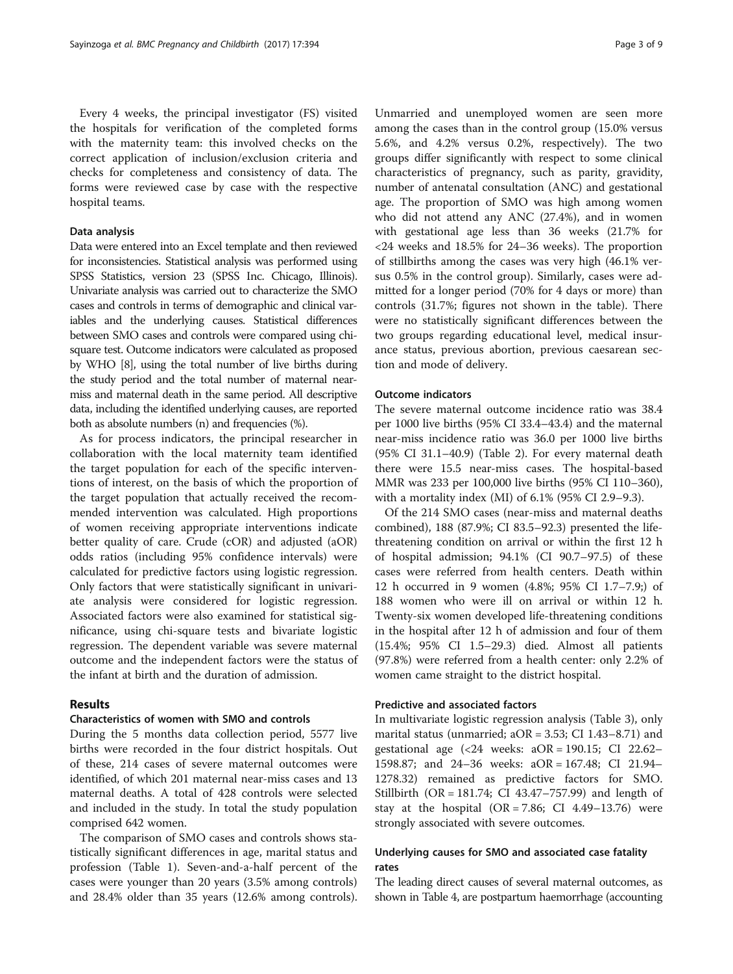Every 4 weeks, the principal investigator (FS) visited the hospitals for verification of the completed forms with the maternity team: this involved checks on the correct application of inclusion/exclusion criteria and checks for completeness and consistency of data. The forms were reviewed case by case with the respective hospital teams.

#### Data analysis

Data were entered into an Excel template and then reviewed for inconsistencies. Statistical analysis was performed using SPSS Statistics, version 23 (SPSS Inc. Chicago, Illinois). Univariate analysis was carried out to characterize the SMO cases and controls in terms of demographic and clinical variables and the underlying causes. Statistical differences between SMO cases and controls were compared using chisquare test. Outcome indicators were calculated as proposed by WHO [\[8\]](#page-8-0), using the total number of live births during the study period and the total number of maternal nearmiss and maternal death in the same period. All descriptive data, including the identified underlying causes, are reported both as absolute numbers (n) and frequencies (%).

As for process indicators, the principal researcher in collaboration with the local maternity team identified the target population for each of the specific interventions of interest, on the basis of which the proportion of the target population that actually received the recommended intervention was calculated. High proportions of women receiving appropriate interventions indicate better quality of care. Crude (cOR) and adjusted (aOR) odds ratios (including 95% confidence intervals) were calculated for predictive factors using logistic regression. Only factors that were statistically significant in univariate analysis were considered for logistic regression. Associated factors were also examined for statistical significance, using chi-square tests and bivariate logistic regression. The dependent variable was severe maternal outcome and the independent factors were the status of the infant at birth and the duration of admission.

## Results

## Characteristics of women with SMO and controls

During the 5 months data collection period, 5577 live births were recorded in the four district hospitals. Out of these, 214 cases of severe maternal outcomes were identified, of which 201 maternal near-miss cases and 13 maternal deaths. A total of 428 controls were selected and included in the study. In total the study population comprised 642 women.

The comparison of SMO cases and controls shows statistically significant differences in age, marital status and profession (Table [1\)](#page-3-0). Seven-and-a-half percent of the cases were younger than 20 years (3.5% among controls) and 28.4% older than 35 years (12.6% among controls).

Unmarried and unemployed women are seen more among the cases than in the control group (15.0% versus 5.6%, and 4.2% versus 0.2%, respectively). The two groups differ significantly with respect to some clinical characteristics of pregnancy, such as parity, gravidity, number of antenatal consultation (ANC) and gestational age. The proportion of SMO was high among women who did not attend any ANC (27.4%), and in women with gestational age less than 36 weeks (21.7% for <24 weeks and 18.5% for 24–36 weeks). The proportion of stillbirths among the cases was very high (46.1% versus 0.5% in the control group). Similarly, cases were admitted for a longer period (70% for 4 days or more) than controls (31.7%; figures not shown in the table). There were no statistically significant differences between the two groups regarding educational level, medical insurance status, previous abortion, previous caesarean section and mode of delivery.

#### Outcome indicators

The severe maternal outcome incidence ratio was 38.4 per 1000 live births (95% CI 33.4–43.4) and the maternal near-miss incidence ratio was 36.0 per 1000 live births (95% CI 31.1–40.9) (Table [2](#page-5-0)). For every maternal death there were 15.5 near-miss cases. The hospital-based MMR was 233 per 100,000 live births (95% CI 110–360), with a mortality index (MI) of 6.1% (95% CI 2.9–9.3).

Of the 214 SMO cases (near-miss and maternal deaths combined), 188 (87.9%; CI 83.5–92.3) presented the lifethreatening condition on arrival or within the first 12 h of hospital admission; 94.1% (CI 90.7–97.5) of these cases were referred from health centers. Death within 12 h occurred in 9 women (4.8%; 95% CI 1.7–7.9;) of 188 women who were ill on arrival or within 12 h. Twenty-six women developed life-threatening conditions in the hospital after 12 h of admission and four of them (15.4%; 95% CI 1.5–29.3) died. Almost all patients (97.8%) were referred from a health center: only 2.2% of women came straight to the district hospital.

## Predictive and associated factors

In multivariate logistic regression analysis (Table [3\)](#page-5-0), only marital status (unmarried; aOR = 3.53; CI 1.43–8.71) and gestational age  $\langle 24 \text{ weeks: aOR} = 190.15$ ; CI 22.62-1598.87; and 24–36 weeks: aOR = 167.48; CI 21.94– 1278.32) remained as predictive factors for SMO. Stillbirth (OR = 181.74; CI 43.47–757.99) and length of stay at the hospital  $(OR = 7.86; CI 4.49-13.76)$  were strongly associated with severe outcomes.

## Underlying causes for SMO and associated case fatality rates

The leading direct causes of several maternal outcomes, as shown in Table [4](#page-6-0), are postpartum haemorrhage (accounting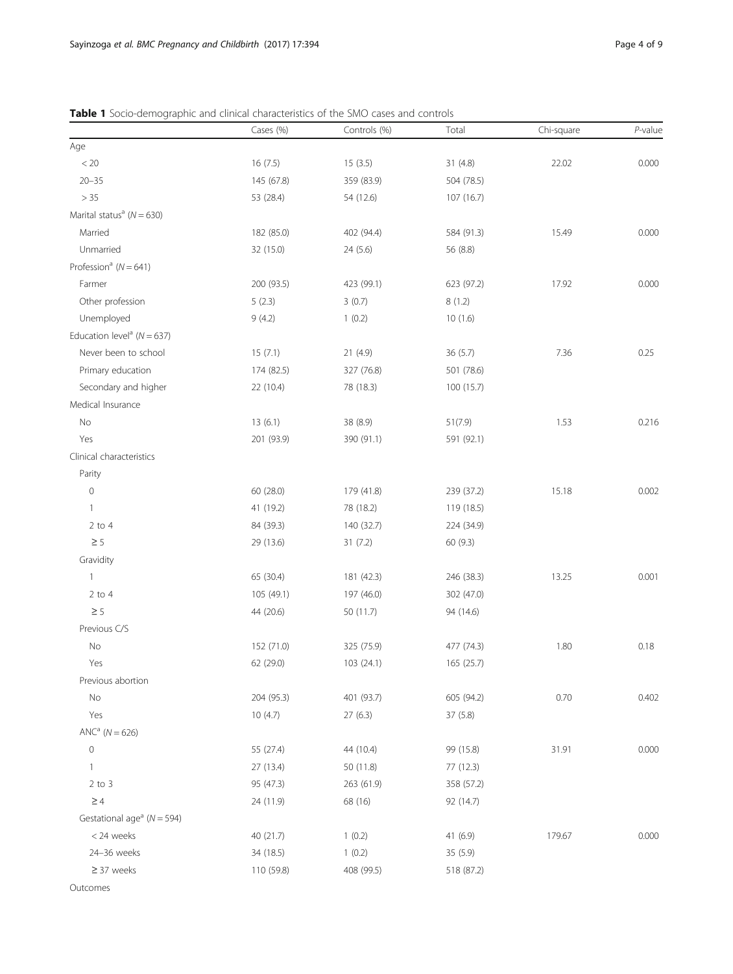|                                            | Cases (%)  | Controls (%) | Total      | Chi-square | $P$ -value |
|--------------------------------------------|------------|--------------|------------|------------|------------|
| Age                                        |            |              |            |            |            |
| < 20                                       | 16(7.5)    | 15(3.5)      | 31(4.8)    | 22.02      | 0.000      |
| $20 - 35$                                  | 145 (67.8) | 359 (83.9)   | 504 (78.5) |            |            |
| $>35\,$                                    | 53 (28.4)  | 54 (12.6)    | 107 (16.7) |            |            |
| Marital status <sup>a</sup> ( $N = 630$ )  |            |              |            |            |            |
| Married                                    | 182 (85.0) | 402 (94.4)   | 584 (91.3) | 15.49      | 0.000      |
| Unmarried                                  | 32 (15.0)  | 24 (5.6)     | 56 (8.8)   |            |            |
| Profession <sup>a</sup> ( $N = 641$ )      |            |              |            |            |            |
| Farmer                                     | 200 (93.5) | 423 (99.1)   | 623 (97.2) | 17.92      | 0.000      |
| Other profession                           | 5(2.3)     | 3(0.7)       | 8(1.2)     |            |            |
| Unemployed                                 | 9(4.2)     | 1(0.2)       | 10(1.6)    |            |            |
| Education level <sup>a</sup> ( $N = 637$ ) |            |              |            |            |            |
| Never been to school                       | 15(7.1)    | 21(4.9)      | 36(5.7)    | 7.36       | 0.25       |
| Primary education                          | 174 (82.5) | 327 (76.8)   | 501 (78.6) |            |            |
| Secondary and higher                       | 22 (10.4)  | 78 (18.3)    | 100 (15.7) |            |            |
| Medical Insurance                          |            |              |            |            |            |
| $\rm No$                                   | 13(6.1)    | 38 (8.9)     | 51(7.9)    | 1.53       | 0.216      |
| Yes                                        | 201 (93.9) | 390 (91.1)   | 591 (92.1) |            |            |
| Clinical characteristics                   |            |              |            |            |            |
| Parity                                     |            |              |            |            |            |
| $\mathbb O$                                | 60 (28.0)  | 179 (41.8)   | 239 (37.2) | 15.18      | 0.002      |
| $\mathbf{1}$                               | 41 (19.2)  | 78 (18.2)    | 119 (18.5) |            |            |
| $2$ to 4                                   | 84 (39.3)  | 140 (32.7)   | 224 (34.9) |            |            |
| $\geq 5$                                   | 29 (13.6)  | 31 (7.2)     | 60 (9.3)   |            |            |
| Gravidity                                  |            |              |            |            |            |
| $\mathbf{1}$                               | 65 (30.4)  | 181 (42.3)   | 246 (38.3) | 13.25      | 0.001      |
| $2$ to 4                                   | 105 (49.1) | 197 (46.0)   | 302 (47.0) |            |            |
| $\geq 5$                                   | 44 (20.6)  | 50 (11.7)    | 94 (14.6)  |            |            |
| Previous C/S                               |            |              |            |            |            |
| No                                         | 152 (71.0) | 325 (75.9)   | 477 (74.3) | 1.80       | 0.18       |
| Yes                                        | 62 (29.0)  | 103 (24.1)   | 165 (25.7) |            |            |
| Previous abortion                          |            |              |            |            |            |
| No                                         | 204 (95.3) | 401 (93.7)   | 605 (94.2) | 0.70       | 0.402      |
| Yes                                        | 10(4.7)    | 27(6.3)      | 37(5.8)    |            |            |
| $ANCa (N = 626)$                           |            |              |            |            |            |
| $\mathbb O$                                | 55 (27.4)  | 44 (10.4)    | 99 (15.8)  | 31.91      | 0.000      |
| $\mathbf{1}$                               | 27 (13.4)  | 50 (11.8)    | 77 (12.3)  |            |            |
| $2$ to $3$                                 | 95 (47.3)  | 263 (61.9)   | 358 (57.2) |            |            |
| $\geq 4$                                   | 24 (11.9)  | 68 (16)      | 92 (14.7)  |            |            |
| Gestational age <sup>a</sup> ( $N = 594$ ) |            |              |            |            |            |
| < 24 weeks                                 | 40 (21.7)  | 1(0.2)       | 41(6.9)    | 179.67     | 0.000      |
| 24-36 weeks                                | 34 (18.5)  | 1(0.2)       | 35 (5.9)   |            |            |
| $\geq$ 37 weeks                            | 110 (59.8) | 408 (99.5)   | 518 (87.2) |            |            |

<span id="page-3-0"></span>Table 1 Socio-demographic and clinical characteristics of the SMO cases and controls

Outcomes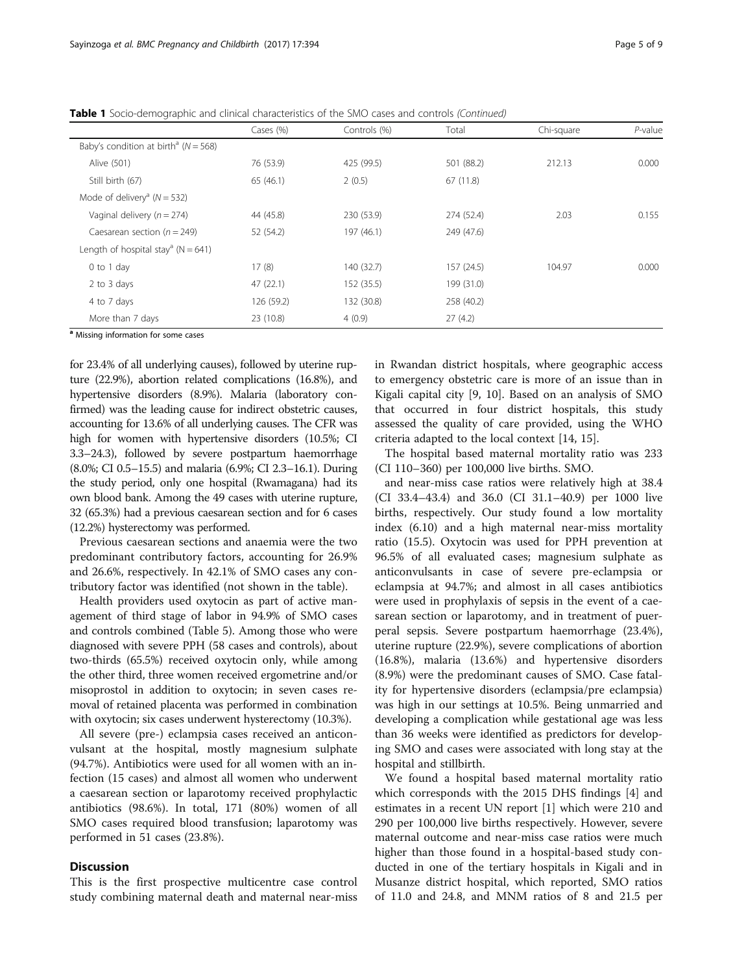|                                                      | Cases (%)  | Controls (%) | Total      | Chi-square | $P$ -value |
|------------------------------------------------------|------------|--------------|------------|------------|------------|
| Baby's condition at birth <sup>a</sup> ( $N = 568$ ) |            |              |            |            |            |
| Alive (501)                                          | 76 (53.9)  | 425 (99.5)   | 501 (88.2) | 212.13     | 0.000      |
| Still birth (67)                                     | 65(46.1)   | 2(0.5)       | 67(11.8)   |            |            |
| Mode of delivery <sup>a</sup> ( $N = 532$ )          |            |              |            |            |            |
| Vaginal delivery ( $n = 274$ )                       | 44 (45.8)  | 230 (53.9)   | 274 (52.4) | 2.03       | 0.155      |
| Caesarean section ( $n = 249$ )                      | 52 (54.2)  | 197 (46.1)   | 249 (47.6) |            |            |
| Length of hospital stay <sup>a</sup> (N = 641)       |            |              |            |            |            |
| 0 to 1 day                                           | 17(8)      | 140 (32.7)   | 157 (24.5) | 104.97     | 0.000      |
| 2 to 3 days                                          | 47(22.1)   | 152 (35.5)   | 199 (31.0) |            |            |
| 4 to 7 days                                          | 126 (59.2) | 132 (30.8)   | 258 (40.2) |            |            |
| More than 7 days                                     | 23 (10.8)  | 4(0.9)       | 27(4.2)    |            |            |

Table 1 Socio-demographic and clinical characteristics of the SMO cases and controls (Continued)

<sup>a</sup> Missing information for some cases

for 23.4% of all underlying causes), followed by uterine rupture (22.9%), abortion related complications (16.8%), and hypertensive disorders (8.9%). Malaria (laboratory confirmed) was the leading cause for indirect obstetric causes, accounting for 13.6% of all underlying causes. The CFR was high for women with hypertensive disorders (10.5%; CI 3.3–24.3), followed by severe postpartum haemorrhage (8.0%; CI 0.5–15.5) and malaria (6.9%; CI 2.3–16.1). During the study period, only one hospital (Rwamagana) had its own blood bank. Among the 49 cases with uterine rupture, 32 (65.3%) had a previous caesarean section and for 6 cases (12.2%) hysterectomy was performed.

Previous caesarean sections and anaemia were the two predominant contributory factors, accounting for 26.9% and 26.6%, respectively. In 42.1% of SMO cases any contributory factor was identified (not shown in the table).

Health providers used oxytocin as part of active management of third stage of labor in 94.9% of SMO cases and controls combined (Table [5\)](#page-6-0). Among those who were diagnosed with severe PPH (58 cases and controls), about two-thirds (65.5%) received oxytocin only, while among the other third, three women received ergometrine and/or misoprostol in addition to oxytocin; in seven cases removal of retained placenta was performed in combination with oxytocin; six cases underwent hysterectomy (10.3%).

All severe (pre-) eclampsia cases received an anticonvulsant at the hospital, mostly magnesium sulphate (94.7%). Antibiotics were used for all women with an infection (15 cases) and almost all women who underwent a caesarean section or laparotomy received prophylactic antibiotics (98.6%). In total, 171 (80%) women of all SMO cases required blood transfusion; laparotomy was performed in 51 cases (23.8%).

## **Discussion**

This is the first prospective multicentre case control study combining maternal death and maternal near-miss in Rwandan district hospitals, where geographic access to emergency obstetric care is more of an issue than in Kigali capital city [\[9, 10\]](#page-8-0). Based on an analysis of SMO that occurred in four district hospitals, this study assessed the quality of care provided, using the WHO criteria adapted to the local context [\[14, 15\]](#page-8-0).

The hospital based maternal mortality ratio was 233 (CI 110–360) per 100,000 live births. SMO.

and near-miss case ratios were relatively high at 38.4 (CI 33.4–43.4) and 36.0 (CI 31.1–40.9) per 1000 live births, respectively. Our study found a low mortality index (6.10) and a high maternal near-miss mortality ratio (15.5). Oxytocin was used for PPH prevention at 96.5% of all evaluated cases; magnesium sulphate as anticonvulsants in case of severe pre-eclampsia or eclampsia at 94.7%; and almost in all cases antibiotics were used in prophylaxis of sepsis in the event of a caesarean section or laparotomy, and in treatment of puerperal sepsis. Severe postpartum haemorrhage (23.4%), uterine rupture (22.9%), severe complications of abortion (16.8%), malaria (13.6%) and hypertensive disorders (8.9%) were the predominant causes of SMO. Case fatality for hypertensive disorders (eclampsia/pre eclampsia) was high in our settings at 10.5%. Being unmarried and developing a complication while gestational age was less than 36 weeks were identified as predictors for developing SMO and cases were associated with long stay at the hospital and stillbirth.

We found a hospital based maternal mortality ratio which corresponds with the 2015 DHS findings [[4\]](#page-8-0) and estimates in a recent UN report [[1](#page-7-0)] which were 210 and 290 per 100,000 live births respectively. However, severe maternal outcome and near-miss case ratios were much higher than those found in a hospital-based study conducted in one of the tertiary hospitals in Kigali and in Musanze district hospital, which reported, SMO ratios of 11.0 and 24.8, and MNM ratios of 8 and 21.5 per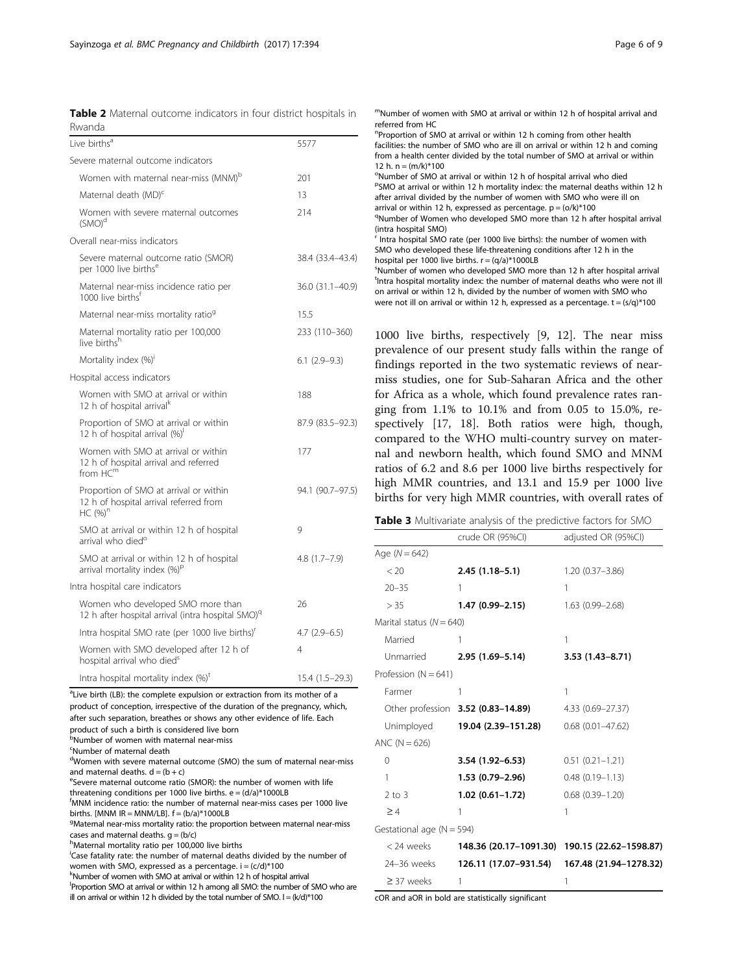<span id="page-5-0"></span>

|        |  |  | Table 2 Maternal outcome indicators in four district hospitals in |
|--------|--|--|-------------------------------------------------------------------|
| Rwanda |  |  |                                                                   |

| Live births <sup>a</sup>                                                                           | 5577             |
|----------------------------------------------------------------------------------------------------|------------------|
| Severe maternal outcome indicators                                                                 |                  |
| Women with maternal near-miss (MNM) <sup>b</sup>                                                   | 201              |
| Maternal death (MD) <sup>c</sup>                                                                   | 13               |
| Women with severe maternal outcomes<br>$(SMO)^d$                                                   | 214              |
| Overall near-miss indicators                                                                       |                  |
| Severe maternal outcome ratio (SMOR)<br>per 1000 live births <sup>e</sup>                          | 38.4 (33.4-43.4) |
| Maternal near-miss incidence ratio per<br>1000 live birthsf                                        | 36.0 (31.1-40.9) |
| Maternal near-miss mortality ratio <sup>9</sup>                                                    | 15.5             |
| Maternal mortality ratio per 100,000<br>live births <sup>h</sup>                                   | 233 (110-360)    |
| Mortality index (%) <sup>i</sup>                                                                   | $6.1$ (2.9-9.3)  |
| Hospital access indicators                                                                         |                  |
| Women with SMO at arrival or within<br>12 h of hospital arrival <sup>k</sup>                       | 188              |
| Proportion of SMO at arrival or within<br>12 h of hospital arrival (%) <sup>1</sup>                | 87.9 (83.5-92.3) |
| Women with SMO at arrival or within<br>12 h of hospital arrival and referred<br>from $HC^m$        | 177              |
| Proportion of SMO at arrival or within<br>12 h of hospital arrival referred from<br>$HC (%)^n$     | 94.1 (90.7-97.5) |
| SMO at arrival or within 12 h of hospital<br>arrival who died <sup>o</sup>                         | 9                |
| SMO at arrival or within 12 h of hospital<br>arrival mortality index $(\%)^p$                      | $4.8(1.7 - 7.9)$ |
| Intra hospital care indicators                                                                     |                  |
| Women who developed SMO more than<br>12 h after hospital arrival (intra hospital SMO) <sup>q</sup> | 26               |
| Intra hospital SMO rate (per 1000 live births)'                                                    | $4.7(2.9-6.5)$   |
| Women with SMO developed after 12 h of<br>hospital arrival who died <sup>s</sup>                   | 4                |
| Intra hospital mortality index $(\%)^t$                                                            | 15.4 (1.5-29.3)  |

<sup>a</sup>Live birth (LB): the complete expulsion or extraction from its mother of a product of conception, irrespective of the duration of the pregnancy, which, after such separation, breathes or shows any other evidence of life. Each product of such a birth is considered live born

**b**<br>Number of women with maternal near-miss

<sup>c</sup>Number of maternal death

<sup>d</sup>Women with severe maternal outcome (SMO) the sum of maternal near-miss and maternal deaths.  $d = (b + c)$ 

<sup>e</sup>Severe maternal outcome ratio (SMOR): the number of women with life threatening conditions per 1000 live births.  $e = (d/a)^*1000LB$ 

f MNM incidence ratio: the number of maternal near-miss cases per 1000 live births. [MNM IR = MNM/LB].  $f = (b/a)^*1000LB$ 

<sup>g</sup>Maternal near-miss mortality ratio: the proportion between maternal near-miss cases and maternal deaths.  $g = (b/c)$ 

h<br>Maternal mortality ratio per 100,000 live births

i Case fatality rate: the number of maternal deaths divided by the number of women with SMO, expressed as a percentage.  $i = (c/d)^*100$ 

kNumber of women with SMO at arrival or within 12 h of hospital arrival

Proportion SMO at arrival or within 12 h among all SMO: the number of SMO who are ill on arrival or within 12 h divided by the total number of SMO.  $I = (k/d)^*100$ 

| "Number of women with SMO at arrival or within 12 h of hospital arrival and<br>referred from HC                                                                                                                                                     |
|-----------------------------------------------------------------------------------------------------------------------------------------------------------------------------------------------------------------------------------------------------|
| <sup>n</sup> Proportion of SMO at arrival or within 12 h coming from other health<br>facilities: the number of SMO who are ill on arrival or within 12 h and coming<br>from a health center divided by the total number of SMO at arrival or within |
| 12 h. n = $(m/k)*100$                                                                                                                                                                                                                               |
| <sup>o</sup> Number of SMO at arrival or within 12 h of hospital arrival who died                                                                                                                                                                   |
| <sup>P</sup> SMO at arrival or within 12 h mortality index: the maternal deaths within 12 h<br>after arrival divided by the number of women with SMO who were ill on                                                                                |
| arrival or within 12 h, expressed as percentage. $p = (o/k)^*100$                                                                                                                                                                                   |
| <sup>q</sup> Number of Women who developed SMO more than 12 h after hospital arrival<br>(intra hospital SMO)                                                                                                                                        |
| <sup>r</sup> Intra hospital SMO rate (per 1000 live births): the number of women with                                                                                                                                                               |
| SMO who developed these life-threatening conditions after 12 h in the<br>hospital per 1000 live births. $r = (q/a)^*1000LB$                                                                                                                         |
| <sup>5</sup> Number of women who developed SMO more than 12 h after hospital arrival                                                                                                                                                                |
| <sup>t</sup> Intra hospital mortality index: the number of maternal deaths who were not ill<br>on arrival or within 12 h, divided by the number of women with SMO who                                                                               |
| were not ill on arrival or within 12 h, expressed as a percentage. $t = (s/q)^*100$                                                                                                                                                                 |
| 1000 live births, respectively [9, 12]. The near miss                                                                                                                                                                                               |
| prevalence of our present study falls within the range of                                                                                                                                                                                           |
| $\sim$ $\sim$ $\sim$ $\sim$ $\sim$ $\sim$                                                                                                                                                                                                           |

findings reported in the two systematic reviews of nearmiss studies, one for Sub-Saharan Africa and the other for Africa as a whole, which found prevalence rates ranging from 1.1% to 10.1% and from 0.05 to 15.0%, respectively [[17, 18\]](#page-8-0). Both ratios were high, though, compared to the WHO multi-country survey on maternal and newborn health, which found SMO and MNM ratios of 6.2 and 8.6 per 1000 live births respectively for high MMR countries, and 13.1 and 15.9 per 1000 live births for very high MMR countries, with overall rates of

| Table 3 Multivariate analysis of the predictive factors for SMO |  |  |
|-----------------------------------------------------------------|--|--|
|-----------------------------------------------------------------|--|--|

|                              | crude OR (95%CI) adjusted OR (95%CI) |                                               |
|------------------------------|--------------------------------------|-----------------------------------------------|
| Age $(N = 642)$              |                                      |                                               |
| < 20                         | $2.45(1.18-5.1)$                     | $1.20(0.37 - 3.86)$                           |
| $20 - 35$                    | 1                                    | 1                                             |
| > 35                         | 1.47 (0.99-2.15)                     | $1.63(0.99 - 2.68)$                           |
| Marital status ( $N = 640$ ) |                                      |                                               |
| Married                      | 1                                    | 1                                             |
|                              | Unmarried 2.95 (1.69-5.14)           | $3.53(1.43 - 8.71)$                           |
| Profession ( $N = 641$ )     |                                      |                                               |
| Farmer                       | 1                                    | 1                                             |
|                              | Other profession 3.52 (0.83-14.89)   | 4.33 (0.69-27.37)                             |
| Unimployed                   | 19.04 (2.39–151.28)                  | $0.68$ $(0.01 - 47.62)$                       |
| $ANC (N = 626)$              |                                      |                                               |
| 0                            | 3.54 (1.92-6.53)                     | $0.51(0.21 - 1.21)$                           |
| 1                            | 1.53 (0.79-2.96)                     | $0.48(0.19 - 1.13)$                           |
| $2$ to $3$                   | $1.02(0.61 - 1.72)$                  | $0.68$ $(0.39 - 1.20)$                        |
| $\geq 4$                     | 1                                    | 1                                             |
| Gestational age $(N = 594)$  |                                      |                                               |
| < 24 weeks                   |                                      | 148.36 (20.17-1091.30) 190.15 (22.62-1598.87) |
| 24–36 weeks                  | 126.11 (17.07–931.54)                | 167.48 (21.94-1278.32)                        |
| $\geq$ 37 weeks              | 1                                    | 1                                             |

cOR and aOR in bold are statistically significant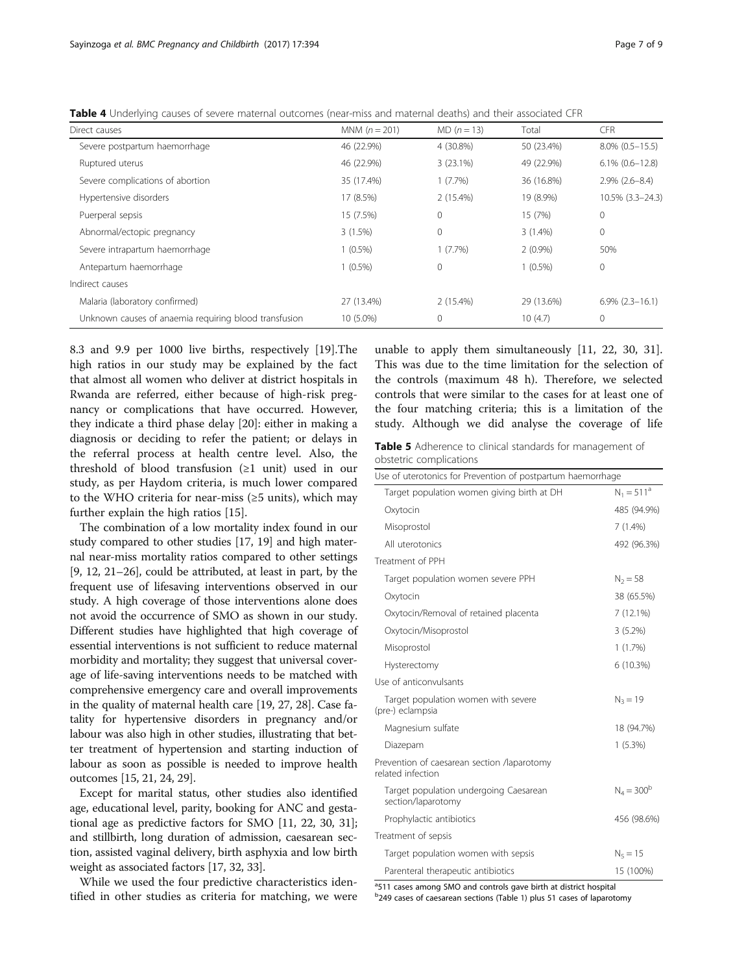<span id="page-6-0"></span>Table 4 Underlying causes of severe maternal outcomes (near-miss and maternal deaths) and their associated CFR

| Direct causes                                         | MNM $(n = 201)$ | $MD (n = 13)$ | Total      | <b>CFR</b>           |
|-------------------------------------------------------|-----------------|---------------|------------|----------------------|
| Severe postpartum haemorrhage                         | 46 (22.9%)      | 4 (30.8%)     | 50 (23.4%) | $8.0\%$ (0.5-15.5)   |
| Ruptured uterus                                       | 46 (22.9%)      | 3(23.1%)      | 49 (22.9%) | $6.1\%$ $(0.6-12.8)$ |
| Severe complications of abortion                      | 35 (17.4%)      | 1(7.7%)       | 36 (16.8%) | $2.9\%$ $(2.6-8.4)$  |
| Hypertensive disorders                                | 17 (8.5%)       | 2(15.4%)      | 19 (8.9%)  | 10.5% (3.3-24.3)     |
| Puerperal sepsis                                      | 15 (7.5%)       | $\circ$       | 15 (7%)    | $\mathbf{0}$         |
| Abnormal/ectopic pregnancy                            | 3(1.5%)         | $\mathbf{0}$  | $3(1.4\%)$ | $\mathbf{0}$         |
| Severe intrapartum haemorrhage                        | $1(0.5\%)$      | $1(7.7\%)$    | $2(0.9\%)$ | 50%                  |
| Antepartum haemorrhage                                | $1(0.5\%)$      | $\Omega$      | $1(0.5\%)$ | $\mathbf{0}$         |
| Indirect causes                                       |                 |               |            |                      |
| Malaria (laboratory confirmed)                        | 27 (13.4%)      | $2(15.4\%)$   | 29 (13.6%) | $6.9\%$ $(2.3-16.1)$ |
| Unknown causes of anaemia requiring blood transfusion | 10 (5.0%)       | $\mathbf{0}$  | 10(4.7)    | $\mathbf{0}$         |

8.3 and 9.9 per 1000 live births, respectively [\[19](#page-8-0)].The high ratios in our study may be explained by the fact that almost all women who deliver at district hospitals in Rwanda are referred, either because of high-risk pregnancy or complications that have occurred. However, they indicate a third phase delay [[20\]](#page-8-0): either in making a diagnosis or deciding to refer the patient; or delays in the referral process at health centre level. Also, the threshold of blood transfusion (≥1 unit) used in our study, as per Haydom criteria, is much lower compared to the WHO criteria for near-miss (≥5 units), which may further explain the high ratios [[15\]](#page-8-0).

The combination of a low mortality index found in our study compared to other studies [\[17, 19\]](#page-8-0) and high maternal near-miss mortality ratios compared to other settings [[9, 12, 21](#page-8-0)–[26\]](#page-8-0), could be attributed, at least in part, by the frequent use of lifesaving interventions observed in our study. A high coverage of those interventions alone does not avoid the occurrence of SMO as shown in our study. Different studies have highlighted that high coverage of essential interventions is not sufficient to reduce maternal morbidity and mortality; they suggest that universal coverage of life-saving interventions needs to be matched with comprehensive emergency care and overall improvements in the quality of maternal health care [\[19](#page-8-0), [27, 28](#page-8-0)]. Case fatality for hypertensive disorders in pregnancy and/or labour was also high in other studies, illustrating that better treatment of hypertension and starting induction of labour as soon as possible is needed to improve health outcomes [\[15, 21](#page-8-0), [24](#page-8-0), [29\]](#page-8-0).

Except for marital status, other studies also identified age, educational level, parity, booking for ANC and gestational age as predictive factors for SMO [\[11, 22](#page-8-0), [30, 31](#page-8-0)]; and stillbirth, long duration of admission, caesarean section, assisted vaginal delivery, birth asphyxia and low birth weight as associated factors [\[17, 32](#page-8-0), [33](#page-8-0)].

While we used the four predictive characteristics identified in other studies as criteria for matching, we were

unable to apply them simultaneously [\[11](#page-8-0), [22](#page-8-0), [30](#page-8-0), [31](#page-8-0)]. This was due to the time limitation for the selection of the controls (maximum 48 h). Therefore, we selected controls that were similar to the cases for at least one of the four matching criteria; this is a limitation of the study. Although we did analyse the coverage of life

Table 5 Adherence to clinical standards for management of obstetric complications

| Use of uterotonics for Prevention of postpartum haemorrhage      |               |
|------------------------------------------------------------------|---------------|
| Target population women giving birth at DH                       | $N_1 = 511^a$ |
| Oxytocin                                                         | 485 (94.9%)   |
| Misoprostol                                                      | $7(1.4\%)$    |
| All uterotonics                                                  | 492 (96.3%)   |
| Treatment of PPH                                                 |               |
| Target population women severe PPH                               | $N_2 = 58$    |
| Oxytocin                                                         | 38 (65.5%)    |
| Oxytocin/Removal of retained placenta                            | 7(12.1%)      |
| Oxytocin/Misoprostol                                             | 3(5.2%)       |
| Misoprostol                                                      | 1(1.7%)       |
| Hysterectomy                                                     | 6 (10.3%)     |
| Use of anticonvulsants                                           |               |
| Target population women with severe<br>(pre-) eclampsia          | $N_3 = 19$    |
| Magnesium sulfate                                                | 18 (94.7%)    |
| Diazepam                                                         | 1(5.3%)       |
| Prevention of caesarean section /laparotomy<br>related infection |               |
| Target population undergoing Caesarean<br>section/laparotomy     | $N_A = 300^b$ |
| Prophylactic antibiotics                                         | 456 (98.6%)   |
| Treatment of sepsis                                              |               |
| Target population women with sepsis                              | $N_5 = 15$    |
| Parenteral therapeutic antibiotics                               | 15 (100%)     |

<sup>a</sup>511 cases among SMO and controls gave birth at district hospital

<sup>b</sup>249 cases of caesarean sections (Table [1\)](#page-3-0) plus 51 cases of laparotomy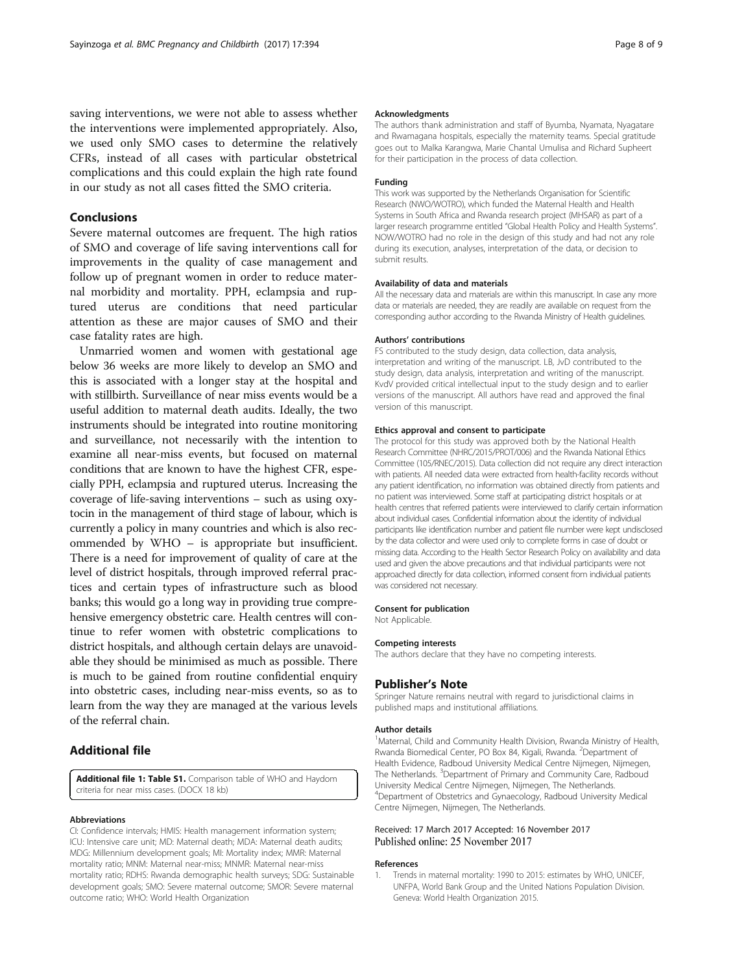<span id="page-7-0"></span>saving interventions, we were not able to assess whether the interventions were implemented appropriately. Also, we used only SMO cases to determine the relatively CFRs, instead of all cases with particular obstetrical complications and this could explain the high rate found in our study as not all cases fitted the SMO criteria.

## Conclusions

Severe maternal outcomes are frequent. The high ratios of SMO and coverage of life saving interventions call for improvements in the quality of case management and follow up of pregnant women in order to reduce maternal morbidity and mortality. PPH, eclampsia and ruptured uterus are conditions that need particular attention as these are major causes of SMO and their case fatality rates are high.

Unmarried women and women with gestational age below 36 weeks are more likely to develop an SMO and this is associated with a longer stay at the hospital and with stillbirth. Surveillance of near miss events would be a useful addition to maternal death audits. Ideally, the two instruments should be integrated into routine monitoring and surveillance, not necessarily with the intention to examine all near-miss events, but focused on maternal conditions that are known to have the highest CFR, especially PPH, eclampsia and ruptured uterus. Increasing the coverage of life-saving interventions – such as using oxytocin in the management of third stage of labour, which is currently a policy in many countries and which is also recommended by WHO – is appropriate but insufficient. There is a need for improvement of quality of care at the level of district hospitals, through improved referral practices and certain types of infrastructure such as blood banks; this would go a long way in providing true comprehensive emergency obstetric care. Health centres will continue to refer women with obstetric complications to district hospitals, and although certain delays are unavoidable they should be minimised as much as possible. There is much to be gained from routine confidential enquiry into obstetric cases, including near-miss events, so as to learn from the way they are managed at the various levels of the referral chain.

## Additional file

[Additional file 1: Table S1.](dx.doi.org/10.1186/s12884-017-1581-4) Comparison table of WHO and Haydom criteria for near miss cases. (DOCX 18 kb)

#### Abbreviations

CI: Confidence intervals; HMIS: Health management information system; ICU: Intensive care unit; MD: Maternal death; MDA: Maternal death audits; MDG: Millennium development goals; MI: Mortality index; MMR: Maternal mortality ratio; MNM: Maternal near-miss; MNMR: Maternal near-miss mortality ratio; RDHS: Rwanda demographic health surveys; SDG: Sustainable development goals; SMO: Severe maternal outcome; SMOR: Severe maternal outcome ratio; WHO: World Health Organization

#### Acknowledgments

The authors thank administration and staff of Byumba, Nyamata, Nyagatare and Rwamagana hospitals, especially the maternity teams. Special gratitude goes out to Malka Karangwa, Marie Chantal Umulisa and Richard Supheert for their participation in the process of data collection.

#### Funding

This work was supported by the Netherlands Organisation for Scientific Research (NWO/WOTRO), which funded the Maternal Health and Health Systems in South Africa and Rwanda research project (MHSAR) as part of a larger research programme entitled "Global Health Policy and Health Systems". NOW/WOTRO had no role in the design of this study and had not any role during its execution, analyses, interpretation of the data, or decision to submit results.

#### Availability of data and materials

All the necessary data and materials are within this manuscript. In case any more data or materials are needed, they are readily are available on request from the corresponding author according to the Rwanda Ministry of Health guidelines.

#### Authors' contributions

FS contributed to the study design, data collection, data analysis, interpretation and writing of the manuscript. LB, JvD contributed to the study design, data analysis, interpretation and writing of the manuscript. KvdV provided critical intellectual input to the study design and to earlier versions of the manuscript. All authors have read and approved the final version of this manuscript.

#### Ethics approval and consent to participate

The protocol for this study was approved both by the National Health Research Committee (NHRC/2015/PROT/006) and the Rwanda National Ethics Committee (105/RNEC/2015). Data collection did not require any direct interaction with patients. All needed data were extracted from health-facility records without any patient identification, no information was obtained directly from patients and no patient was interviewed. Some staff at participating district hospitals or at health centres that referred patients were interviewed to clarify certain information about individual cases. Confidential information about the identity of individual participants like identification number and patient file number were kept undisclosed by the data collector and were used only to complete forms in case of doubt or missing data. According to the Health Sector Research Policy on availability and data used and given the above precautions and that individual participants were not approached directly for data collection, informed consent from individual patients was considered not necessary.

#### Consent for publication

Not Applicable.

#### Competing interests

The authors declare that they have no competing interests.

## Publisher's Note

Springer Nature remains neutral with regard to jurisdictional claims in published maps and institutional affiliations.

#### Author details

<sup>1</sup>Maternal, Child and Community Health Division, Rwanda Ministry of Health Rwanda Biomedical Center, PO Box 84, Kigali, Rwanda. <sup>2</sup>Department of Health Evidence, Radboud University Medical Centre Nijmegen, Nijmegen, The Netherlands. <sup>3</sup>Department of Primary and Community Care, Radboud University Medical Centre Nijmegen, Nijmegen, The Netherlands. 4 Department of Obstetrics and Gynaecology, Radboud University Medical Centre Nijmegen, Nijmegen, The Netherlands.

#### Received: 17 March 2017 Accepted: 16 November 2017 Published online: 25 November 2017

#### References

Trends in maternal mortality: 1990 to 2015: estimates by WHO, UNICEF, UNFPA, World Bank Group and the United Nations Population Division. Geneva: World Health Organization 2015.